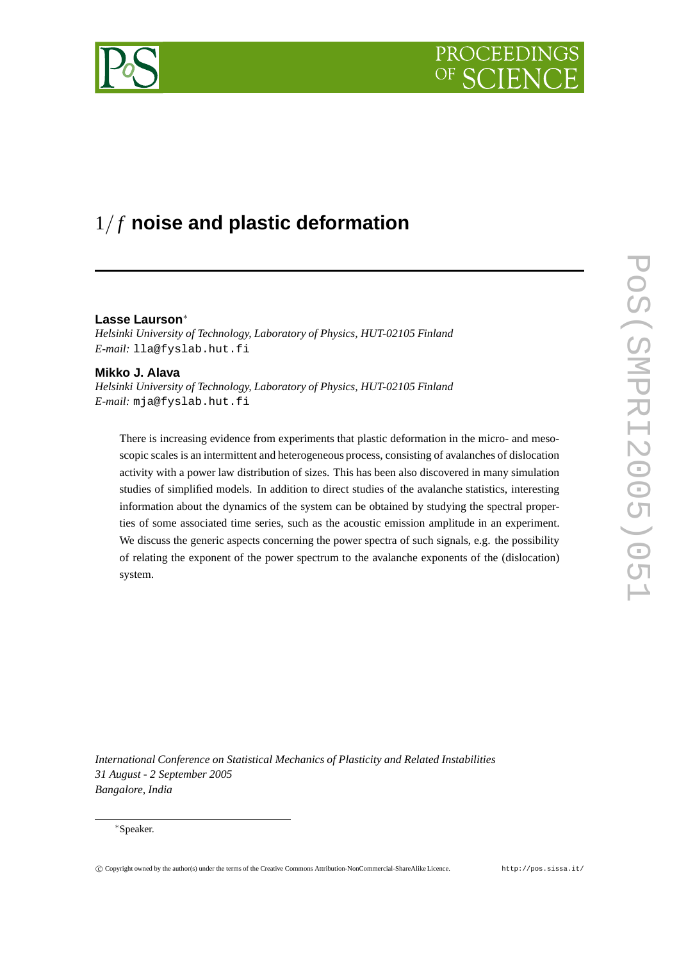# PROCEEDIN



# 1/ *f* **noise and plastic deformation**

# **Lasse Laurson**<sup>∗</sup>

*Helsinki University of Technology, Laboratory of Physics, HUT-02105 Finland E-mail:* lla@fyslab.hut.fi

# **Mikko J. Alava**

*Helsinki University of Technology, Laboratory of Physics, HUT-02105 Finland E-mail:* mja@fyslab.hut.fi

There is increasing evidence from experiments that plastic deformation in the micro- and mesoscopic scales is an intermittent and heterogeneous process, consisting of avalanches of dislocation activity with a power law distribution of sizes. This has been also discovered in many simulation studies of simplified models. In addition to direct studies of the avalanche statistics, interesting information about the dynamics of the system can be obtained by studying the spectral properties of some associated time series, such as the acoustic emission amplitude in an experiment. We discuss the generic aspects concerning the power spectra of such signals, e.g. the possibility of relating the exponent of the power spectrum to the avalanche exponents of the (dislocation) system.

*International Conference on Statistical Mechanics of Plasticity and Related Instabilities 31 August - 2 September 2005 Bangalore, India*

#### <sup>∗</sup>Speaker.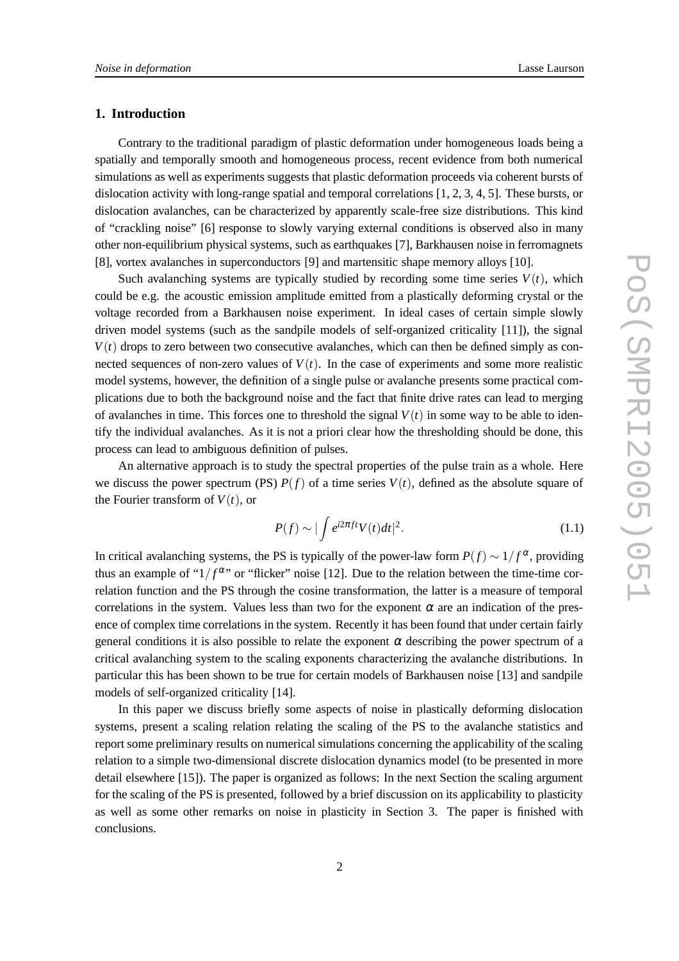# **1. Introduction**

Contrary to the traditional paradigm of plastic deformation under homogeneous loads being a spatially and temporally smooth and homogeneous process, recent evidence from both numerical simulations as well as experiments suggests that plastic deformation proceeds via coherent bursts of dislocation activity with long-range spatial and temporal correlations [1, 2, 3, 4, 5]. These bursts, or dislocation avalanches, can be characterized by apparently scale-free size distributions. This kind of "crackling noise" [6] response to slowly varying external conditions is observed also in many other non-equilibrium physical systems, such as earthquakes [7], Barkhausen noise in ferromagnets [8], vortex avalanches in superconductors [9] and martensitic shape memory alloys [10].

Such avalanching systems are typically studied by recording some time series  $V(t)$ , which could be e.g. the acoustic emission amplitude emitted from a plastically deforming crystal or the voltage recorded from a Barkhausen noise experiment. In ideal cases of certain simple slowly driven model systems (such as the sandpile models of self-organized criticality [11]), the signal  $V(t)$  drops to zero between two consecutive avalanches, which can then be defined simply as connected sequences of non-zero values of  $V(t)$ . In the case of experiments and some more realistic model systems, however, the definition of a single pulse or avalanche presents some practical complications due to both the background noise and the fact that finite drive rates can lead to merging of avalanches in time. This forces one to threshold the signal  $V(t)$  in some way to be able to identify the individual avalanches. As it is not a priori clear how the thresholding should be done, this process can lead to ambiguous definition of pulses.

An alternative approach is to study the spectral properties of the pulse train as a whole. Here we discuss the power spectrum (PS)  $P(f)$  of a time series  $V(t)$ , defined as the absolute square of the Fourier transform of  $V(t)$ , or

$$
P(f) \sim |\int e^{i2\pi ft} V(t) dt|^2.
$$
 (1.1)

In critical avalanching systems, the PS is typically of the power-law form  $P(f) \sim 1/f^{\alpha}$ , providing thus an example of " $1/f^{\alpha}$ " or "flicker" noise [12]. Due to the relation between the time-time correlation function and the PS through the cosine transformation, the latter is a measure of temporal correlations in the system. Values less than two for the exponent  $\alpha$  are an indication of the presence of complex time correlations in the system. Recently it has been found that under certain fairly general conditions it is also possible to relate the exponent  $\alpha$  describing the power spectrum of a critical avalanching system to the scaling exponents characterizing the avalanche distributions. In particular this has been shown to be true for certain models of Barkhausen noise [13] and sandpile models of self-organized criticality [14].

In this paper we discuss briefly some aspects of noise in plastically deforming dislocation systems, present a scaling relation relating the scaling of the PS to the avalanche statistics and report some preliminary results on numerical simulations concerning the applicability of the scaling relation to a simple two-dimensional discrete dislocation dynamics model (to be presented in more detail elsewhere [15]). The paper is organized as follows: In the next Section the scaling argument for the scaling of the PS is presented, followed by a brief discussion on its applicability to plasticity as well as some other remarks on noise in plasticity in Section 3. The paper is finished with conclusions.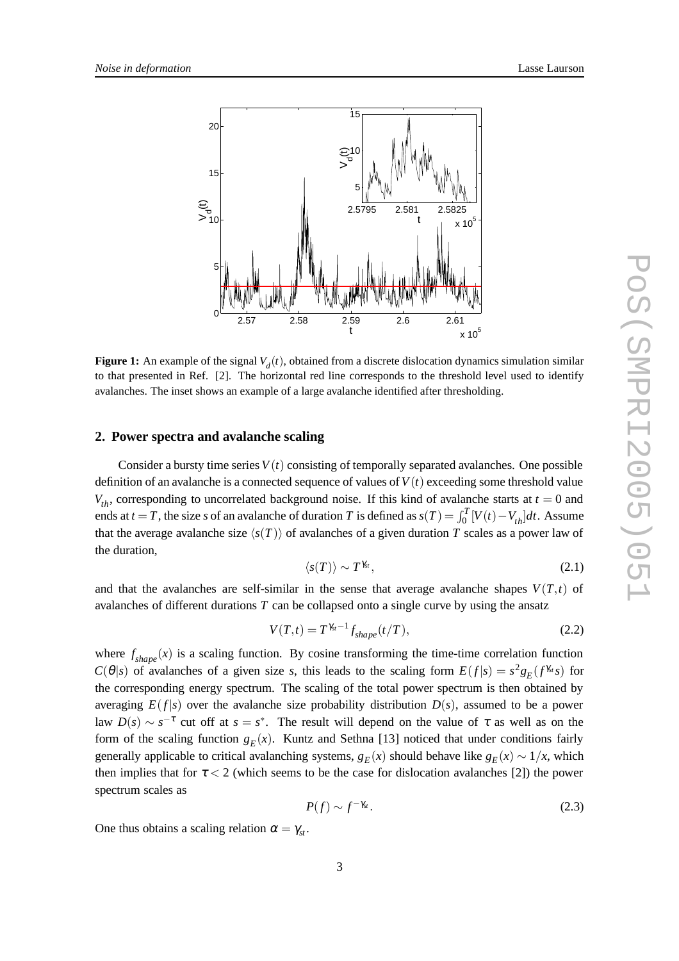

**Figure 1:** An example of the signal  $V_d(t)$ , obtained from a discrete dislocation dynamics simulation similar to that presented in Ref. [2]. The horizontal red line corresponds to the threshold level used to identify avalanches. The inset shows an example of a large avalanche identified after thresholding.

#### **2. Power spectra and avalanche scaling**

Consider a bursty time series  $V(t)$  consisting of temporally separated avalanches. One possible definition of an avalanche is a connected sequence of values of  $V(t)$  exceeding some threshold value  $V_{th}$ , corresponding to uncorrelated background noise. If this kind of avalanche starts at  $t = 0$  and ends at *t* = *T*, the size *s* of an avalanche of duration *T* is defined as  $s(T) = \int_0^T [V(t) - V_{th}] dt$ . Assume that the average avalanche size  $\langle s(T) \rangle$  of avalanches of a given duration *T* scales as a power law of the duration,

$$
\langle s(T) \rangle \sim T^{\gamma_{st}},\tag{2.1}
$$

and that the avalanches are self-similar in the sense that average avalanche shapes  $V(T,t)$  of avalanches of different durations *T* can be collapsed onto a single curve by using the ansatz

$$
V(T,t) = T^{\gamma_{st}-1} f_{shape}(t/T),
$$
\n(2.2)

where  $f_{shape}(x)$  is a scaling function. By cosine transforming the time-time correlation function *C*( $\theta$ |*s*) of avalanches of a given size *s*, this leads to the scaling form  $E(f|s) = s^2 g_E(f^{\gamma_{st}} s)$  for the corresponding energy spectrum. The scaling of the total power spectrum is then obtained by averaging  $E(f|s)$  over the avalanche size probability distribution  $D(s)$ , assumed to be a power law  $D(s) \sim s^{-\tau}$  cut off at  $s = s^*$ . The result will depend on the value of  $\tau$  as well as on the form of the scaling function  $g_E(x)$ . Kuntz and Sethna [13] noticed that under conditions fairly generally applicable to critical avalanching systems,  $g_E(x)$  should behave like  $g_E(x) \sim 1/x$ , which then implies that for  $\tau < 2$  (which seems to be the case for dislocation avalanches [2]) the power spectrum scales as

$$
P(f) \sim f^{-\gamma_{st}}.\tag{2.3}
$$

One thus obtains a scaling relation  $\alpha = \gamma_{st}$ .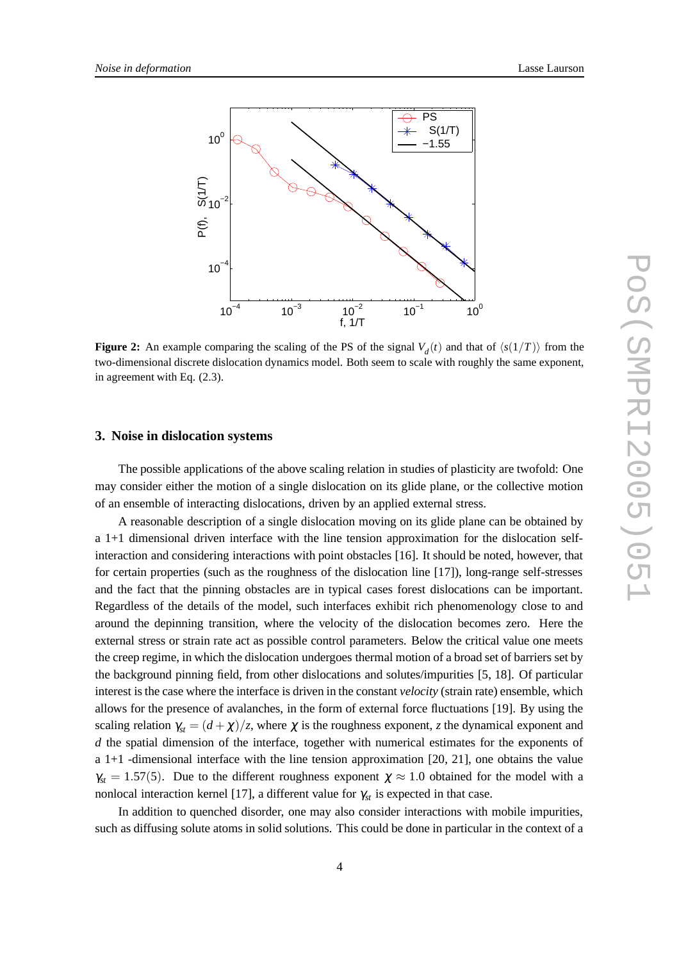

**Figure 2:** An example comparing the scaling of the PS of the signal  $V_d(t)$  and that of  $\langle s(1/T) \rangle$  from the two-dimensional discrete dislocation dynamics model. Both seem to scale with roughly the same exponent, in agreement with Eq. (2.3).

#### **3. Noise in dislocation systems**

The possible applications of the above scaling relation in studies of plasticity are twofold: One may consider either the motion of a single dislocation on its glide plane, or the collective motion of an ensemble of interacting dislocations, driven by an applied external stress.

A reasonable description of a single dislocation moving on its glide plane can be obtained by a 1+1 dimensional driven interface with the line tension approximation for the dislocation selfinteraction and considering interactions with point obstacles [16]. It should be noted, however, that for certain properties (such as the roughness of the dislocation line [17]), long-range self-stresses and the fact that the pinning obstacles are in typical cases forest dislocations can be important. Regardless of the details of the model, such interfaces exhibit rich phenomenology close to and around the depinning transition, where the velocity of the dislocation becomes zero. Here the external stress or strain rate act as possible control parameters. Below the critical value one meets the creep regime, in which the dislocation undergoes thermal motion of a broad set of barriers set by the background pinning field, from other dislocations and solutes/impurities [5, 18]. Of particular interest is the case where the interface is driven in the constant *velocity* (strain rate) ensemble, which allows for the presence of avalanches, in the form of external force fluctuations [19]. By using the scaling relation  $\gamma_{st} = (d + \chi)/z$ , where  $\chi$  is the roughness exponent, *z* the dynamical exponent and *d* the spatial dimension of the interface, together with numerical estimates for the exponents of a 1+1 -dimensional interface with the line tension approximation [20, 21], one obtains the value  $\gamma_{st} = 1.57(5)$ . Due to the different roughness exponent  $\chi \approx 1.0$  obtained for the model with a nonlocal interaction kernel [17], a different value for  $\gamma_{st}$  is expected in that case.

In addition to quenched disorder, one may also consider interactions with mobile impurities, such as diffusing solute atoms in solid solutions. This could be done in particular in the context of a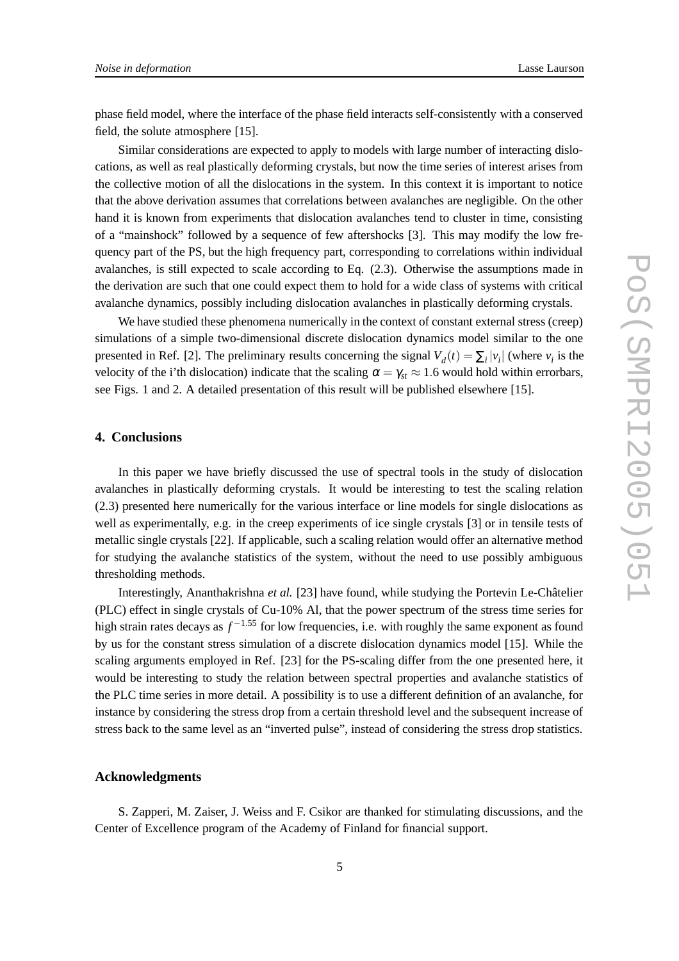phase field model, where the interface of the phase field interacts self-consistently with a conserved field, the solute atmosphere [15].

Similar considerations are expected to apply to models with large number of interacting dislocations, as well as real plastically deforming crystals, but now the time series of interest arises from the collective motion of all the dislocations in the system. In this context it is important to notice that the above derivation assumes that correlations between avalanches are negligible. On the other hand it is known from experiments that dislocation avalanches tend to cluster in time, consisting of a "mainshock" followed by a sequence of few aftershocks [3]. This may modify the low frequency part of the PS, but the high frequency part, corresponding to correlations within individual avalanches, is still expected to scale according to Eq. (2.3). Otherwise the assumptions made in the derivation are such that one could expect them to hold for a wide class of systems with critical avalanche dynamics, possibly including dislocation avalanches in plastically deforming crystals.

We have studied these phenomena numerically in the context of constant external stress (creep) simulations of a simple two-dimensional discrete dislocation dynamics model similar to the one presented in Ref. [2]. The preliminary results concerning the signal  $V_d(t) = \sum_i |v_i|$  (where  $v_i$  is the velocity of the i'th dislocation) indicate that the scaling  $\alpha = \gamma_{st} \approx 1.6$  would hold within errorbars, see Figs. 1 and 2. A detailed presentation of this result will be published elsewhere [15].

## **4. Conclusions**

In this paper we have briefly discussed the use of spectral tools in the study of dislocation avalanches in plastically deforming crystals. It would be interesting to test the scaling relation (2.3) presented here numerically for the various interface or line models for single dislocations as well as experimentally, e.g. in the creep experiments of ice single crystals [3] or in tensile tests of metallic single crystals [22]. If applicable, such a scaling relation would offer an alternative method for studying the avalanche statistics of the system, without the need to use possibly ambiguous thresholding methods.

Interestingly, Ananthakrishna *et al.* [23] have found, while studying the Portevin Le-Châtelier (PLC) effect in single crystals of Cu-10% Al, that the power spectrum of the stress time series for high strain rates decays as *f* <sup>−</sup>1.<sup>55</sup> for low frequencies, i.e. with roughly the same exponent as found by us for the constant stress simulation of a discrete dislocation dynamics model [15]. While the scaling arguments employed in Ref. [23] for the PS-scaling differ from the one presented here, it would be interesting to study the relation between spectral properties and avalanche statistics of the PLC time series in more detail. A possibility is to use a different definition of an avalanche, for instance by considering the stress drop from a certain threshold level and the subsequent increase of stress back to the same level as an "inverted pulse", instead of considering the stress drop statistics.

#### **Acknowledgments**

S. Zapperi, M. Zaiser, J. Weiss and F. Csikor are thanked for stimulating discussions, and the Center of Excellence program of the Academy of Finland for financial support.